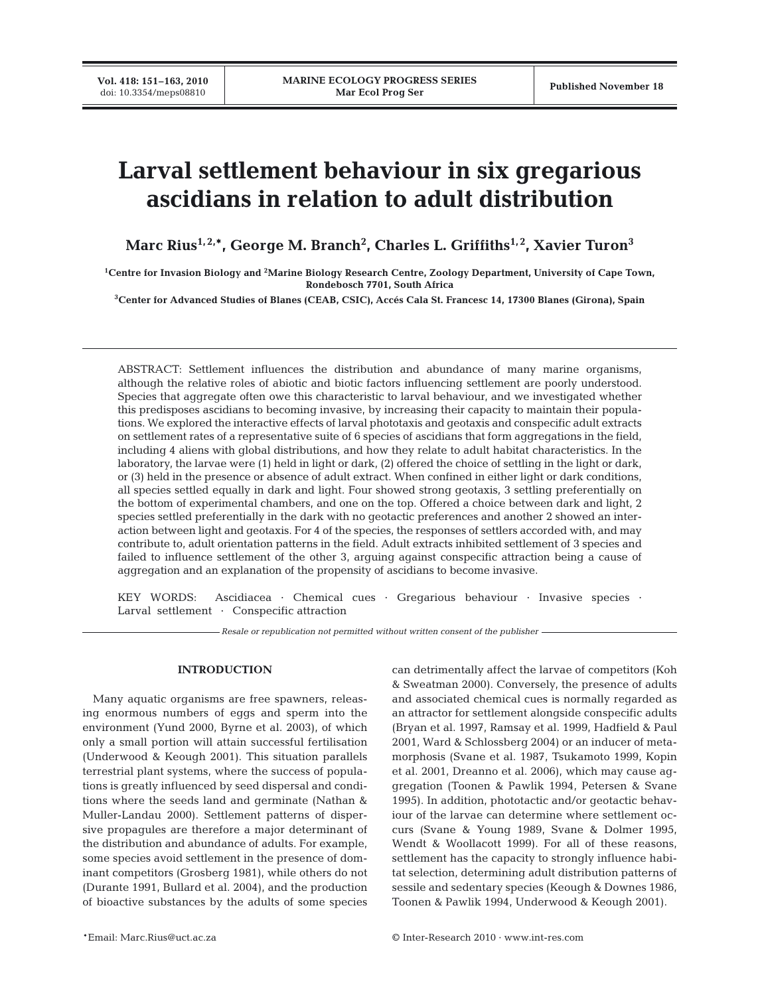# **Larval settlement behaviour in six gregarious ascidians in relation to adult distribution**

Marc Rius<sup>1,2,</sup>\*, George M. Branch<sup>2</sup>, Charles L. Griffiths<sup>1,2</sup>, Xavier Turon<sup>3</sup>

**1 Centre for Invasion Biology and 2 Marine Biology Research Centre, Zoology Department, University of Cape Town, Rondebosch 7701, South Africa**

**3 Center for Advanced Studies of Blanes (CEAB, CSIC), Accés Cala St. Francesc 14, 17300 Blanes (Girona), Spain**

ABSTRACT: Settlement influences the distribution and abundance of many marine organisms, although the relative roles of abiotic and biotic factors influencing settlement are poorly understood. Species that aggregate often owe this characteristic to larval behaviour, and we investigated whether this predisposes ascidians to becoming invasive, by increasing their capacity to maintain their populations. We explored the interactive effects of larval phototaxis and geotaxis and conspecific adult extracts on settlement rates of a representative suite of 6 species of ascidians that form aggregations in the field, including 4 aliens with global distributions, and how they relate to adult habitat characteristics. In the laboratory, the larvae were (1) held in light or dark, (2) offered the choice of settling in the light or dark, or (3) held in the presence or absence of adult extract. When confined in either light or dark conditions, all species settled equally in dark and light. Four showed strong geotaxis, 3 settling preferentially on the bottom of experimental chambers, and one on the top. Offered a choice between dark and light, 2 species settled preferentially in the dark with no geotactic preferences and another 2 showed an interaction between light and geotaxis. For 4 of the species, the responses of settlers accorded with, and may contribute to, adult orientation patterns in the field. Adult extracts inhibited settlement of 3 species and failed to influence settlement of the other 3, arguing against conspecific attraction being a cause of aggregation and an explanation of the propensity of ascidians to become invasive.

KEY WORDS: Ascidiacea · Chemical cues · Gregarious behaviour · Invasive species · Larval settlement · Conspecific attraction

*Resale or republication not permitted without written consent of the publisher*

# **INTRODUCTION**

Many aquatic organisms are free spawners, releasing enormous numbers of eggs and sperm into the environment (Yund 2000, Byrne et al. 2003), of which only a small portion will attain successful fertilisation (Underwood & Keough 2001). This situation parallels terrestrial plant systems, where the success of populations is greatly influenced by seed dispersal and conditions where the seeds land and germinate (Nathan & Muller-Landau 2000). Settlement patterns of dispersive propagules are therefore a major determinant of the distribution and abundance of adults. For example, some species avoid settlement in the presence of dominant competitors (Grosberg 1981), while others do not (Durante 1991, Bullard et al. 2004), and the production of bioactive substances by the adults of some species

can detrimentally affect the larvae of competitors (Koh & Sweatman 2000). Conversely, the presence of adults and associated chemical cues is normally regarded as an attractor for settlement alongside conspecific adults (Bryan et al. 1997, Ramsay et al. 1999, Hadfield & Paul 2001, Ward & Schlossberg 2004) or an inducer of metamorphosis (Svane et al. 1987, Tsukamoto 1999, Kopin et al. 2001, Dreanno et al. 2006), which may cause aggregation (Toonen & Pawlik 1994, Petersen & Svane 1995). In addition, phototactic and/or geotactic behaviour of the larvae can determine where settlement occurs (Svane & Young 1989, Svane & Dolmer 1995, Wendt & Woollacott 1999). For all of these reasons, settlement has the capacity to strongly influence habitat selection, determining adult distribution patterns of sessile and sedentary species (Keough & Downes 1986, Toonen & Pawlik 1994, Underwood & Keough 2001).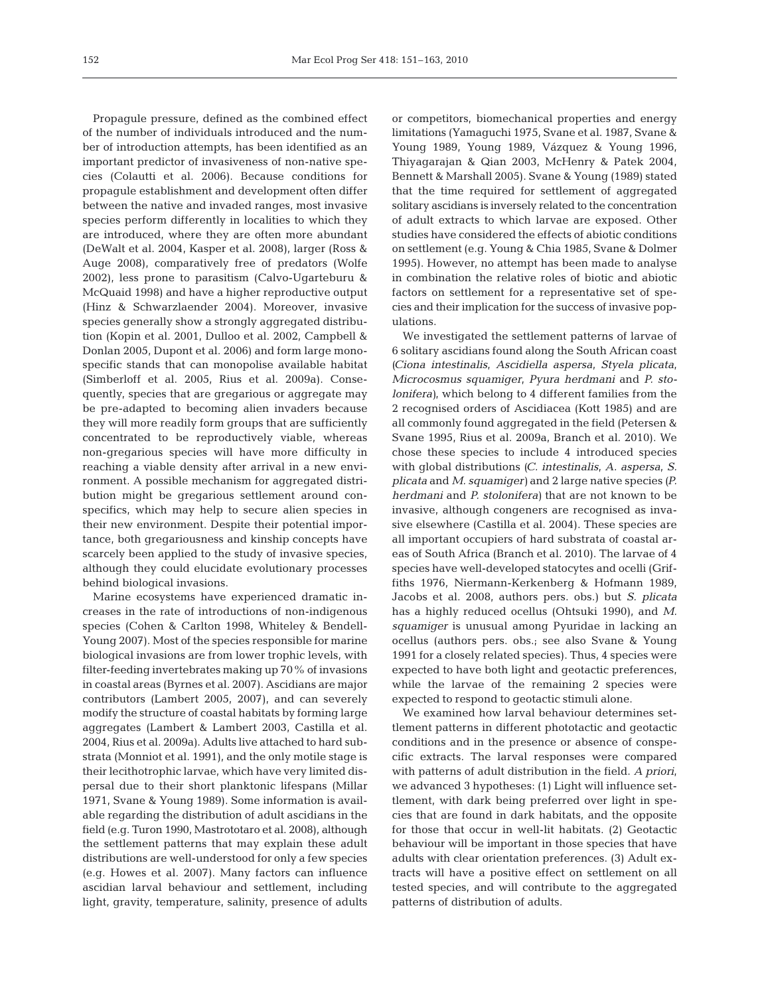Propagule pressure, defined as the combined effect of the number of individuals introduced and the number of introduction attempts, has been identified as an important predictor of invasiveness of non-native species (Colautti et al. 2006). Because conditions for propagule establishment and development often differ between the native and invaded ranges, most invasive species perform differently in localities to which they are introduced, where they are often more abundant (DeWalt et al. 2004, Kasper et al. 2008), larger (Ross & Auge 2008), comparatively free of predators (Wolfe 2002), less prone to parasitism (Calvo-Ugarteburu & McQuaid 1998) and have a higher reproductive output (Hinz & Schwarzlaender 2004). Moreover, invasive species generally show a strongly aggregated distribution (Kopin et al. 2001, Dulloo et al. 2002, Campbell & Donlan 2005, Dupont et al. 2006) and form large monospecific stands that can monopolise available habitat (Simberloff et al. 2005, Rius et al. 2009a). Consequently, species that are gregarious or aggregate may be pre-adapted to becoming alien invaders because they will more readily form groups that are sufficiently concentrated to be reproductively viable, whereas non-gregarious species will have more difficulty in reaching a viable density after arrival in a new environment. A possible mechanism for aggregated distribution might be gregarious settlement around conspecifics, which may help to secure alien species in their new environment. Despite their potential importance, both gregariousness and kinship concepts have scarcely been applied to the study of invasive species, although they could elucidate evolutionary processes behind biological invasions.

Marine ecosystems have experienced dramatic increases in the rate of introductions of non-indigenous species (Cohen & Carlton 1998, Whiteley & Bendell-Young 2007). Most of the species responsible for marine biological invasions are from lower trophic levels, with filter-feeding invertebrates making up 70% of invasions in coastal areas (Byrnes et al. 2007). Ascidians are major contributors (Lambert 2005, 2007), and can severely modify the structure of coastal habitats by forming large aggregates (Lambert & Lambert 2003, Castilla et al. 2004, Rius et al. 2009a). Adults live attached to hard substrata (Monniot et al. 1991), and the only motile stage is their lecithotrophic larvae, which have very limited dispersal due to their short planktonic lifespans (Millar 1971, Svane & Young 1989). Some information is available regarding the distribution of adult ascidians in the field (e.g. Turon 1990, Mastrototaro et al. 2008), although the settlement patterns that may explain these adult distributions are well-understood for only a few species (e.g. Howes et al. 2007). Many factors can influence ascidian larval behaviour and settlement, including light, gravity, temperature, salinity, presence of adults or competitors, biomechanical properties and energy limitations (Yamaguchi 1975, Svane et al. 1987, Svane & Young 1989, Young 1989, Vázquez & Young 1996, Thiyagarajan & Qian 2003, McHenry & Patek 2004, Bennett & Marshall 2005). Svane & Young (1989) stated that the time required for settlement of aggregated solitary ascidians is inversely related to the concentration of adult extracts to which larvae are exposed. Other studies have considered the effects of abiotic conditions on settlement (e.g. Young & Chia 1985, Svane & Dolmer 1995). However, no attempt has been made to analyse in combination the relative roles of biotic and abiotic factors on settlement for a representative set of species and their implication for the success of invasive populations.

We investigated the settlement patterns of larvae of 6 solitary ascidians found along the South African coast *(Ciona intestinalis*, *Ascidiella aspersa*, *Styela plicata*, *Microcosmus squamiger*, *Pyura herdmani* and *P. stolonifera)*, which belong to 4 different families from the 2 recognised orders of Ascidiacea (Kott 1985) and are all commonly found aggregated in the field (Petersen & Svane 1995, Rius et al. 2009a, Branch et al. 2010). We chose these species to include 4 introduced species with global distributions *(C. intestinalis*, *A. aspersa*, *S. plicata* and *M. squamiger)* and 2 large native species *(P. herdmani* and *P. stolonifera)* that are not known to be invasive, although congeners are recognised as invasive elsewhere (Castilla et al. 2004). These species are all important occupiers of hard substrata of coastal areas of South Africa (Branch et al. 2010). The larvae of 4 species have well-developed statocytes and ocelli (Griffiths 1976, Niermann-Kerkenberg & Hofmann 1989, Jacobs et al. 2008, authors pers. obs.) but *S. plicata* has a highly reduced ocellus (Ohtsuki 1990), and *M. squamiger* is unusual among Pyuridae in lacking an ocellus (authors pers. obs.; see also Svane & Young 1991 for a closely related species). Thus, 4 species were expected to have both light and geotactic preferences, while the larvae of the remaining 2 species were expected to respond to geotactic stimuli alone.

We examined how larval behaviour determines settlement patterns in different phototactic and geotactic conditions and in the presence or absence of conspecific extracts. The larval responses were compared with patterns of adult distribution in the field. *A priori*, we advanced 3 hypotheses: (1) Light will influence settlement, with dark being preferred over light in species that are found in dark habitats, and the opposite for those that occur in well-lit habitats. (2) Geotactic behaviour will be important in those species that have adults with clear orientation preferences. (3) Adult extracts will have a positive effect on settlement on all tested species, and will contribute to the aggregated patterns of distribution of adults.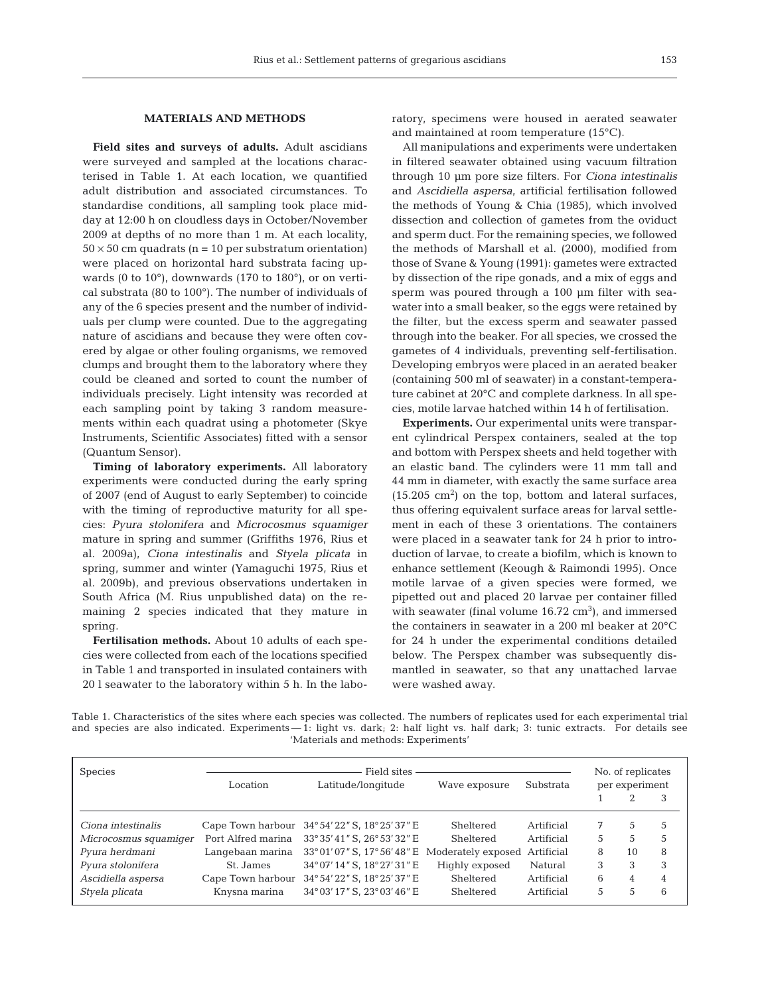#### **MATERIALS AND METHODS**

**Field sites and surveys of adults.** Adult ascidians were surveyed and sampled at the locations characterised in Table 1. At each location, we quantified adult distribution and associated circumstances. To standardise conditions, all sampling took place midday at 12:00 h on cloudless days in October/November 2009 at depths of no more than 1 m. At each locality,  $50 \times 50$  cm quadrats (n = 10 per substratum orientation) were placed on horizontal hard substrata facing upwards (0 to 10°), downwards (170 to 180°), or on vertical substrata (80 to 100°). The number of individuals of any of the 6 species present and the number of individuals per clump were counted. Due to the aggregating nature of ascidians and because they were often covered by algae or other fouling organisms, we removed clumps and brought them to the laboratory where they could be cleaned and sorted to count the number of individuals precisely. Light intensity was recorded at each sampling point by taking 3 random measurements within each quadrat using a photometer (Skye Instruments, Scientific Associates) fitted with a sensor (Quantum Sensor).

**Timing of laboratory experiments.** All laboratory experiments were conducted during the early spring of 2007 (end of August to early September) to coincide with the timing of reproductive maturity for all species: *Pyura stolonifera* and *Microcosmus squamiger* mature in spring and summer (Griffiths 1976, Rius et al. 2009a), *Ciona intestinalis* and *Styela plicata* in spring, summer and winter (Yamaguchi 1975, Rius et al. 2009b), and previous observations undertaken in South Africa (M. Rius unpublished data) on the remaining 2 species indicated that they mature in spring.

**Fertilisation methods.** About 10 adults of each species were collected from each of the locations specified in Table 1 and transported in insulated containers with 20 l seawater to the laboratory within 5 h. In the laboratory, specimens were housed in aerated seawater and maintained at room temperature (15°C).

All manipulations and experiments were undertaken in filtered seawater obtained using vacuum filtration through 10 µm pore size filters. For *Ciona intestinalis* and *Ascidiella aspersa*, artificial fertilisation followed the methods of Young & Chia (1985), which involved dissection and collection of gametes from the oviduct and sperm duct. For the remaining species, we followed the methods of Marshall et al. (2000), modified from those of Svane & Young (1991): gametes were extracted by dissection of the ripe gonads, and a mix of eggs and sperm was poured through a 100 µm filter with seawater into a small beaker, so the eggs were retained by the filter, but the excess sperm and seawater passed through into the beaker. For all species, we crossed the gametes of 4 individuals, preventing self-fertilisation. Developing embryos were placed in an aerated beaker (containing 500 ml of seawater) in a constant-temperature cabinet at 20°C and complete darkness. In all species, motile larvae hatched within 14 h of fertilisation.

**Experiments.** Our experimental units were transparent cylindrical Perspex containers, sealed at the top and bottom with Perspex sheets and held together with an elastic band. The cylinders were 11 mm tall and 44 mm in diameter, with exactly the same surface area  $(15.205 \text{ cm}^2)$  on the top, bottom and lateral surfaces, thus offering equivalent surface areas for larval settlement in each of these 3 orientations. The containers were placed in a seawater tank for 24 h prior to introduction of larvae, to create a biofilm, which is known to enhance settlement (Keough & Raimondi 1995). Once motile larvae of a given species were formed, we pipetted out and placed 20 larvae per container filled with seawater (final volume  $16.72 \text{ cm}^3$ ), and immersed the containers in seawater in a 200 ml beaker at 20°C for 24 h under the experimental conditions detailed below. The Perspex chamber was subsequently dismantled in seawater, so that any unattached larvae were washed away.

Table 1. Characteristics of the sites where each species was collected. The numbers of replicates used for each experimental trial and species are also indicated. Experiments - 1: light vs. dark; 2: half light vs. half dark; 3: tunic extracts. For details see 'Materials and methods: Experiments'

| Species               | Location           | Field sites -<br>Latitude/longitude<br>Substrata<br>Wave exposure |                |            |   |    |   |
|-----------------------|--------------------|-------------------------------------------------------------------|----------------|------------|---|----|---|
|                       |                    |                                                                   |                |            |   |    | 3 |
| Ciona intestinalis    | Cape Town harbour  | 34°54′22″ S, 18°25′37″ E                                          | Sheltered      | Artificial | 7 | 5  | 5 |
| Microcosmus squamiqer | Port Alfred marina | 33°35′41″ S, 26°53′32″ E                                          | Sheltered      | Artificial | 5 | 5  | 5 |
| Pyura herdmani        | Langebaan marina   | $33^{\circ}01'07''$ S, $17^{\circ}56'48''$ E Moderately exposed   |                | Artificial | 8 | 10 | 8 |
| Pyura stolonifera     | St. James          | 34° 07' 14" S, 18° 27' 31" E                                      | Highly exposed | Natural    | 3 | 3  | 3 |
| Ascidiella aspersa    | Cape Town harbour  | 34°54′22″ S, 18°25′ 37″ E                                         | Sheltered      | Artificial | 6 | 4  | 4 |
| Styela plicata        | Knysna marina      | 34° 03′ 17″ S, 23° 03′ 46″ E                                      | Sheltered      | Artificial | 5 | 5  | 6 |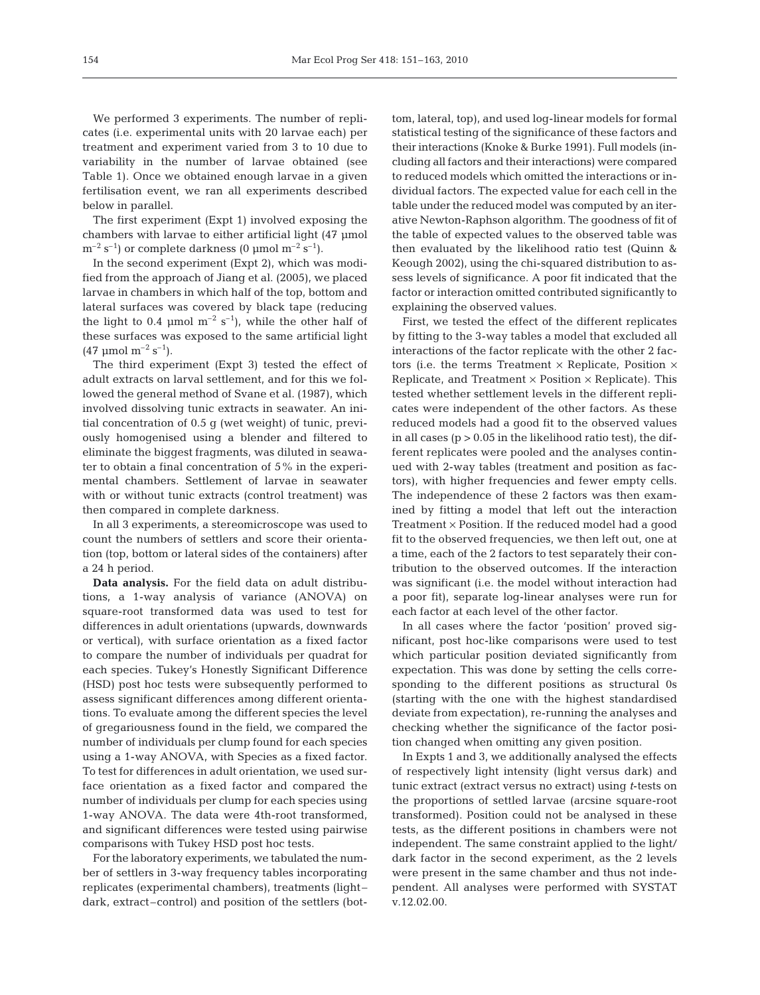We performed 3 experiments. The number of replicates (i.e. experimental units with 20 larvae each) per treatment and experiment varied from 3 to 10 due to variability in the number of larvae obtained (see Table 1). Once we obtained enough larvae in a given fertilisation event, we ran all experiments described below in parallel.

The first experiment (Expt 1) involved exposing the chambers with larvae to either artificial light (47 µmol  $m^{-2}$  s<sup>-1</sup>) or complete darkness (0 µmol m<sup>-2</sup> s<sup>-1</sup>).

In the second experiment (Expt 2), which was modified from the approach of Jiang et al. (2005), we placed larvae in chambers in which half of the top, bottom and lateral surfaces was covered by black tape (reducing the light to 0.4  $\mu$ mol m<sup>-2</sup> s<sup>-1</sup>), while the other half of these surfaces was exposed to the same artificial light  $(47 \text{ \mu mol m}^{-2} \text{ s}^{-1}).$ 

The third experiment (Expt 3) tested the effect of adult extracts on larval settlement, and for this we followed the general method of Svane et al. (1987), which involved dissolving tunic extracts in seawater. An initial concentration of 0.5 g (wet weight) of tunic, previously homogenised using a blender and filtered to eliminate the biggest fragments, was diluted in seawater to obtain a final concentration of 5% in the experimental chambers. Settlement of larvae in seawater with or without tunic extracts (control treatment) was then compared in complete darkness.

In all 3 experiments, a stereomicroscope was used to count the numbers of settlers and score their orientation (top, bottom or lateral sides of the containers) after a 24 h period.

**Data analysis.** For the field data on adult distributions, a 1-way analysis of variance (ANOVA) on square-root transformed data was used to test for differences in adult orientations (upwards, downwards or vertical), with surface orientation as a fixed factor to compare the number of individuals per quadrat for each species. Tukey's Honestly Significant Difference (HSD) post hoc tests were subsequently performed to assess significant differences among different orientations. To evaluate among the different species the level of gregariousness found in the field, we compared the number of individuals per clump found for each species using a 1-way ANOVA, with Species as a fixed factor. To test for differences in adult orientation, we used surface orientation as a fixed factor and compared the number of individuals per clump for each species using 1-way ANOVA. The data were 4th-root transformed, and significant differences were tested using pairwise comparisons with Tukey HSD post hoc tests.

For the laboratory experiments, we tabulated the number of settlers in 3-way frequency tables incorporating replicates (experimental chambers), treatments (light– dark, extract–control) and position of the settlers (bottom, lateral, top), and used log-linear models for formal statistical testing of the significance of these factors and their interactions (Knoke & Burke 1991). Full models (including all factors and their interactions) were compared to reduced models which omitted the interactions or individual factors. The expected value for each cell in the table under the reduced model was computed by an iterative Newton-Raphson algorithm. The goodness of fit of the table of expected values to the observed table was then evaluated by the likelihood ratio test (Quinn & Keough 2002), using the chi-squared distribution to assess levels of significance. A poor fit indicated that the factor or interaction omitted contributed significantly to explaining the observed values.

First, we tested the effect of the different replicates by fitting to the 3-way tables a model that excluded all interactions of the factor replicate with the other 2 factors (i.e. the terms Treatment  $\times$  Replicate, Position  $\times$ Replicate, and Treatment  $\times$  Position  $\times$  Replicate). This tested whether settlement levels in the different replicates were independent of the other factors. As these reduced models had a good fit to the observed values in all cases  $(p > 0.05$  in the likelihood ratio test), the different replicates were pooled and the analyses continued with 2-way tables (treatment and position as factors), with higher frequencies and fewer empty cells. The independence of these 2 factors was then examined by fitting a model that left out the interaction Treatment  $\times$  Position. If the reduced model had a good fit to the observed frequencies, we then left out, one at a time, each of the 2 factors to test separately their contribution to the observed outcomes. If the interaction was significant (i.e. the model without interaction had a poor fit), separate log-linear analyses were run for each factor at each level of the other factor.

In all cases where the factor 'position' proved significant, post hoc-like comparisons were used to test which particular position deviated significantly from expectation. This was done by setting the cells corresponding to the different positions as structural 0s (starting with the one with the highest standardised deviate from expectation), re-running the analyses and checking whether the significance of the factor position changed when omitting any given position.

In Expts 1 and 3, we additionally analysed the effects of respectively light intensity (light versus dark) and tunic extract (extract versus no extract) using *t*-tests on the proportions of settled larvae (arcsine square-root transformed). Position could not be analysed in these tests, as the different positions in chambers were not independent. The same constraint applied to the light/ dark factor in the second experiment, as the 2 levels were present in the same chamber and thus not independent. All analyses were performed with SYSTAT v.12.02.00.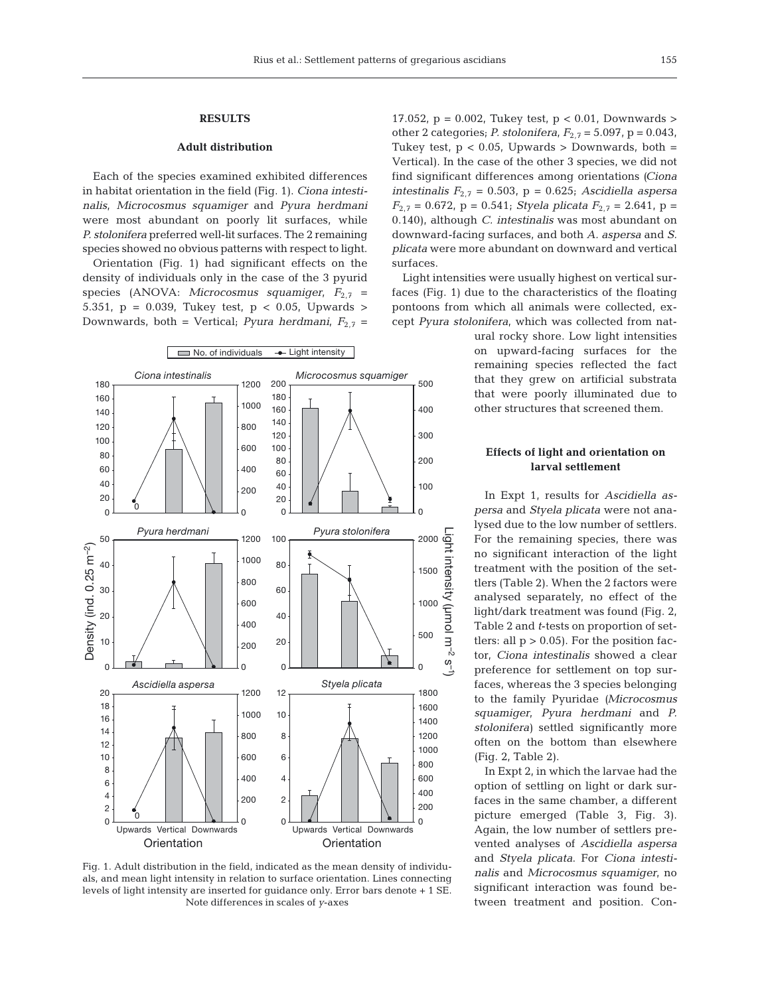## **RESULTS**

# **Adult distribution**

Each of the species examined exhibited differences in habitat orientation in the field (Fig. 1). *Ciona intestinalis*, *Microcosmus squamiger* and *Pyura herdmani* were most abundant on poorly lit surfaces, while *P. stolonifera* preferred well-lit surfaces. The 2 remaining species showed no obvious patterns with respect to light.

Orientation (Fig. 1) had significant effects on the density of individuals only in the case of the 3 pyurid species (ANOVA: *Microcosmus squamiger*,  $F_{2,7}$  = 5.351, p = 0.039, Tukey test, p < 0.05, Upwards > Downwards, both = Vertical; *Pyura herdmani*,  $F_{2,7}$  =



Fig. 1. Adult distribution in the field, indicated as the mean density of individuals, and mean light intensity in relation to surface orientation. Lines connecting levels of light intensity are inserted for guidance only. Error bars denote + 1 SE. Note differences in scales of *y*-axes

17.052, p = 0.002, Tukey test, p < 0.01, Downwards > other 2 categories; *P. stolonifera*,  $F_{2,7} = 5.097$ ,  $p = 0.043$ , Tukey test,  $p < 0.05$ , Upwards > Downwards, both = Vertical). In the case of the other 3 species, we did not find significant differences among orientations *(Ciona intestinalis F*2,7 = 0.503, p = 0.625; *Ascidiella aspersa*  $F_{2,7} = 0.672$ , p = 0.541; *Styela plicata*  $F_{2,7} = 2.641$ , p = 0.140), although *C. intestinalis* was most abundant on downward-facing surfaces, and both *A. aspersa* and *S. plicata* were more abundant on downward and vertical surfaces.

Light intensities were usually highest on vertical surfaces (Fig. 1) due to the characteristics of the floating pontoons from which all animals were collected, except *Pyura stolonifera*, which was collected from nat-

> ural rocky shore. Low light intensities on upward-facing surfaces for the remaining species reflected the fact that they grew on artificial substrata that were poorly illuminated due to other structures that screened them.

## **Effects of light and orientation on larval settlement**

In Expt 1, results for *Ascidiella aspersa* and *Styela plicata* were not analysed due to the low number of settlers. For the remaining species, there was no significant interaction of the light treatment with the position of the settlers (Table 2). When the 2 factors were analysed separately, no effect of the light/dark treatment was found (Fig. 2, Table 2 and *t*-tests on proportion of settlers: all  $p > 0.05$ ). For the position factor, *Ciona intestinalis* showed a clear preference for settlement on top surfaces, whereas the 3 species belonging to the family Pyuridae *(Microcosmus squamiger*, *Pyura herdmani* and *P. stolonifera)* settled significantly more often on the bottom than elsewhere (Fig. 2, Table 2).

In Expt 2, in which the larvae had the option of settling on light or dark surfaces in the same chamber, a different picture emerged (Table 3, Fig. 3). Again, the low number of settlers prevented analyses of *Ascidiella aspersa* and *Styela plicata*. For *Ciona intestinalis* and *Microcosmus squamiger*, no significant interaction was found between treatment and position. Con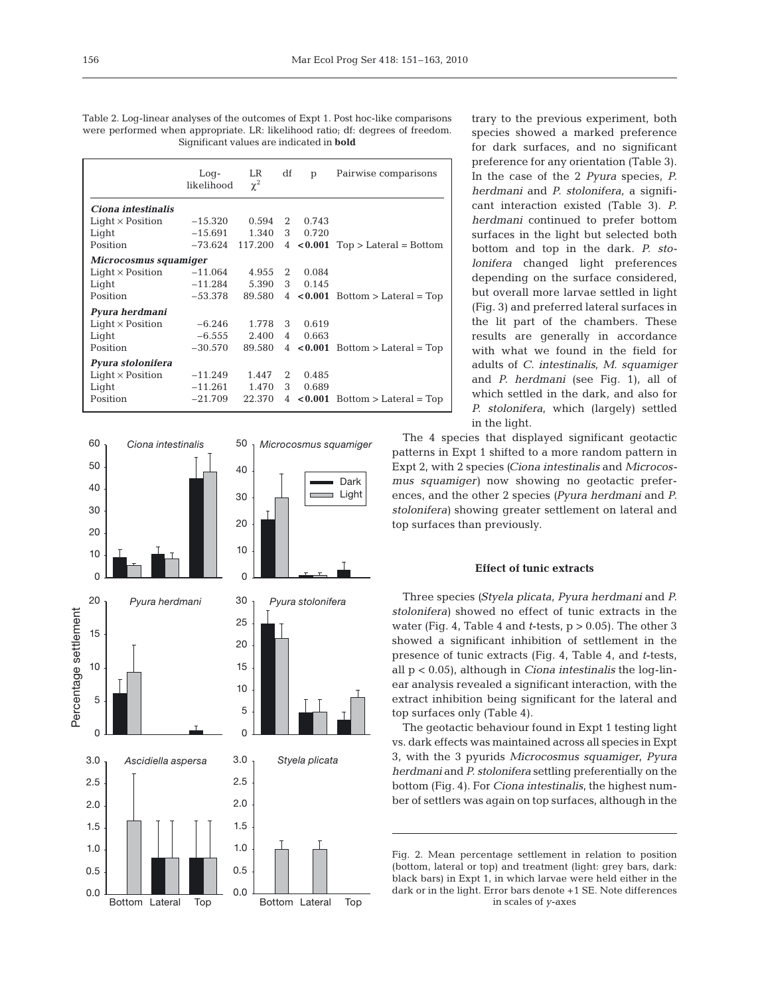Table 2. Log-linear analyses of the outcomes of Expt 1. Post hoc-like comparisons were performed when appropriate. LR: likelihood ratio; df: degrees of freedom. Significant values are indicated in **bold**

|                         | $Log-$<br>likelihood | LR.<br>$\chi^2$ | df             | p       | Pairwise comparisons                    |
|-------------------------|----------------------|-----------------|----------------|---------|-----------------------------------------|
| Ciona intestinalis      |                      |                 |                |         |                                         |
| $Light \times Position$ | $-15.320$            | 0.594           | 2              | 0.743   |                                         |
| Light                   | $-15.691$            | 1.340           | 3              | 0.720   |                                         |
| Position                | -73.624              | 117.200         |                |         | $4 \times 0.001$ Top > Lateral = Bottom |
| Microcosmus squamiger   |                      |                 |                |         |                                         |
| $Light \times Position$ | $-11.064$            | 4.955           | 2              | 0.084   |                                         |
| Light                   | $-11.284$            | 5.390           | 3 <sup>7</sup> | 0.145   |                                         |
| Position                | $-53.378$            | 89.580          |                |         | $4 \times 0.001$ Bottom > Lateral = Top |
| Pyura herdmani          |                      |                 |                |         |                                         |
| $Light \times Position$ | $-6.246$             | 1.778           | 3              | 0.619   |                                         |
| Light                   | $-6.555$             | 2.400           | 4              | 0.663   |                                         |
| Position                | $-30.570$            | 89.580          |                |         | $4 \times 0.001$ Bottom > Lateral = Top |
| Pyura stolonifera       |                      |                 |                |         |                                         |
| $Light \times Position$ | $-11.249$            | 1.447           | 2              | 0.485   |                                         |
| Light                   | $-11.261$            | 1.470           | 3              | 0.689   |                                         |
| Position                | $-21.709$            | 22.370          | 4              | < 0.001 | $Bottom > Lateral = Top$                |



trary to the previous experiment, both species showed a marked preference for dark surfaces, and no significant preference for any orientation (Table 3). In the case of the 2 *Pyura* species, *P. herdmani* and *P. stolonifera*, a significant interaction existed (Table 3). *P. herdmani* continued to prefer bottom surfaces in the light but selected both bottom and top in the dark. *P. stolonifera* changed light preferences depending on the surface considered, but overall more larvae settled in light (Fig. 3) and preferred lateral surfaces in the lit part of the chambers. These results are generally in accordance with what we found in the field for adults of *C. intestinalis*, *M. squamiger* and *P. herdmani* (see Fig. 1), all of which settled in the dark, and also for *P. stolonifera*, which (largely) settled in the light.

The 4 species that displayed significant geotactic patterns in Expt 1 shifted to a more random pattern in Expt 2, with 2 species *(Ciona intestinalis* and *Microcosmus squamiger)* now showing no geotactic preferences, and the other 2 species *(Pyura herdmani* and *P. stolonifera)* showing greater settlement on lateral and top surfaces than previously.

#### **Effect of tunic extracts**

Three species *(Styela plicata*, *Pyura herdmani* and *P. stolonifera)* showed no effect of tunic extracts in the water (Fig. 4, Table 4 and *t*-tests, p > 0.05). The other 3 showed a significant inhibition of settlement in the presence of tunic extracts (Fig. 4, Table 4, and *t*-tests, all p < 0.05), although in *Ciona intestinalis* the log-linear analysis revealed a significant interaction, with the extract inhibition being significant for the lateral and top surfaces only (Table 4).

The geotactic behaviour found in Expt 1 testing light vs. dark effects was maintained across all species in Expt 3, with the 3 pyurids *Microcosmus squamiger*, *Pyura herdmani* and *P. stolonifera* settling preferentially on the bottom (Fig. 4). For *Ciona intestinalis*, the highest number of settlers was again on top surfaces, although in the

Fig. 2. Mean percentage settlement in relation to position (bottom, lateral or top) and treatment (light: grey bars, dark: black bars) in Expt 1, in which larvae were held either in the dark or in the light. Error bars denote +1 SE. Note differences in scales of *y*-axes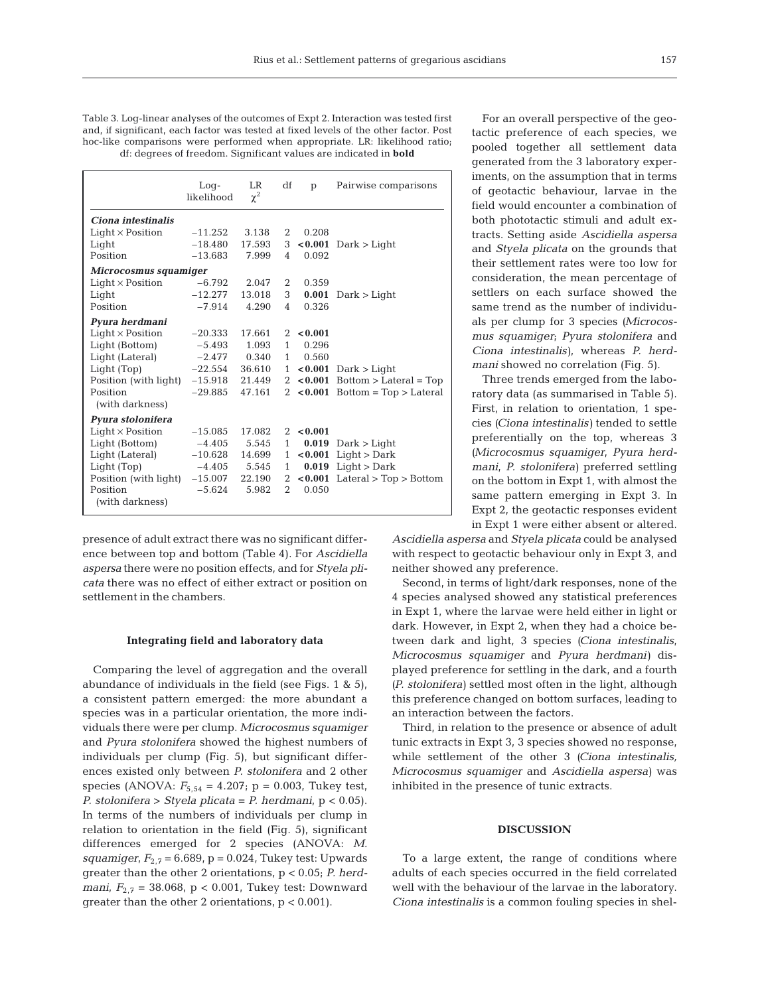Table 3. Log-linear analyses of the outcomes of Expt 2. Interaction was tested first and, if significant, each factor was tested at fixed levels of the other factor. Post hoc-like comparisons were performed when appropriate. LR: likelihood ratio; df: degrees of freedom. Significant values are indicated in **bold**

|                         | $Log-$<br>likelihood | LR<br>$\chi^2$ | df             | p             | Pairwise comparisons             |
|-------------------------|----------------------|----------------|----------------|---------------|----------------------------------|
| Ciona intestinalis      |                      |                |                |               |                                  |
| $Light \times Position$ | $-11.252$            | 3.138          | 2              | 0.208         |                                  |
| Light                   | $-18.480$            | 17.593         | 3              |               | $< 0.001$ Dark > Light           |
| Position                | $-13.683$            | 7.999          | $\overline{4}$ | 0.092         |                                  |
| Microcosmus squamiger   |                      |                |                |               |                                  |
| $Light \times Position$ | $-6.792$             | 2.047          | 2              | 0.359         |                                  |
| Light                   | $-12.277$            | 13.018         | 3              |               | $0.001$ Dark > Light             |
| Position                | $-7.914$             | 4.290          | $\overline{4}$ | 0.326         |                                  |
| Pyura herdmani          |                      |                |                |               |                                  |
| $Light \times Position$ | $-20.333$            | 17.661         |                | $2 \le 0.001$ |                                  |
| Light (Bottom)          | -5.493               | 1.093          | $\mathbf{1}$   | 0.296         |                                  |
| Light (Lateral)         | $-2.477$             | 0.340          | 1              | 0.560         |                                  |
| Light (Top)             | $-22.554$            | 36.610         | $\mathbf{1}$   |               | $< 0.001$ Dark $>$ Light         |
| Position (with light)   | $-15.918$            | 21.449         | $\overline{2}$ |               | $< 0.001$ Bottom > Lateral = Top |
| Position                | $-29.885$            | 47.161         | $\mathbf{2}$   |               | $< 0.001$ Bottom = Top > Lateral |
| (with darkness)         |                      |                |                |               |                                  |
| Pyura stolonifera       |                      |                |                |               |                                  |
| $Light \times Position$ | $-15.085$            | 17.082         |                | $2 \le 0.001$ |                                  |
| Light (Bottom)          | $-4.405$             | 5.545          | $\mathbf{1}$   | 0.019         | Dark > Light                     |
| Light (Lateral)         | $-10.628$            | 14.699         | 1              |               | $< 0.001$ Light > Dark           |
| Light (Top)             | $-4.405$             | 5.545          | 1              |               | $0.019$ Light > Dark             |
| Position (with light)   | $-15.007$            | 22.190         | $2^{\circ}$    |               | $< 0.001$ Lateral > Top > Bottom |
| Position                | $-5.624$             | 5.982          | 2              | 0.050         |                                  |
| (with darkness)         |                      |                |                |               |                                  |

presence of adult extract there was no significant difference between top and bottom (Table 4). For *Ascidiella aspersa* there were no position effects, and for *Styela plicata* there was no effect of either extract or position on settlement in the chambers.

#### **Integrating field and laboratory data**

Comparing the level of aggregation and the overall abundance of individuals in the field (see Figs. 1 & 5), a consistent pattern emerged: the more abundant a species was in a particular orientation, the more individuals there were per clump. *Microcosmus squamiger* and *Pyura stolonifera* showed the highest numbers of individuals per clump (Fig. 5), but significant differences existed only between *P. stolonifera* and 2 other species (ANOVA: *F*5,54 = 4.207; p = 0.003, Tukey test, *P. stolonifera* > *Styela plicata* = *P. herdmani*, p < 0.05). In terms of the numbers of individuals per clump in relation to orientation in the field (Fig. 5), significant differences emerged for 2 species (ANOVA: *M. squamiger*,  $F_{2,7} = 6.689$ ,  $p = 0.024$ , Tukey test: Upwards greater than the other 2 orientations, p < 0.05; *P. herdmani*, *F*2,7 = 38.068, p < 0.001, Tukey test: Downward greater than the other 2 orientations,  $p < 0.001$ ).

For an overall perspective of the geotactic preference of each species, we pooled together all settlement data generated from the 3 laboratory experiments, on the assumption that in terms of geotactic behaviour, larvae in the field would encounter a combination of both phototactic stimuli and adult extracts. Setting aside *Ascidiella aspersa* and *Styela plicata* on the grounds that their settlement rates were too low for consideration, the mean percentage of settlers on each surface showed the same trend as the number of individuals per clump for 3 species *(Microcosmus squamiger*; *Pyura stolonifera* and *Ciona intestinalis)*, whereas *P. herdmani* showed no correlation (Fig. 5).

Three trends emerged from the laboratory data (as summarised in Table 5). First, in relation to orientation, 1 species *(Ciona intestinalis)* tended to settle preferentially on the top, whereas 3 *(Microcosmus squamiger*, *Pyura herdmani*, *P. stolonifera)* preferred settling on the bottom in Expt 1, with almost the same pattern emerging in Expt 3. In Expt 2, the geotactic responses evident in Expt 1 were either absent or altered.

*Ascidiella aspersa* and *Styela plicata* could be analysed with respect to geotactic behaviour only in Expt 3, and neither showed any preference.

Second, in terms of light/dark responses, none of the 4 species analysed showed any statistical preferences in Expt 1, where the larvae were held either in light or dark. However, in Expt 2, when they had a choice between dark and light, 3 species *(Ciona intestinalis*, *Microcosmus squamiger* and *Pyura herdmani)* displayed preference for settling in the dark, and a fourth *(P. stolonifera)* settled most often in the light, although this preference changed on bottom surfaces, leading to an interaction between the factors.

Third, in relation to the presence or absence of adult tunic extracts in Expt 3, 3 species showed no response, while settlement of the other 3 *(Ciona intestinalis, Microcosmus squamiger* and *Ascidiella aspersa)* was inhibited in the presence of tunic extracts.

## **DISCUSSION**

To a large extent, the range of conditions where adults of each species occurred in the field correlated well with the behaviour of the larvae in the laboratory. *Ciona intestinalis* is a common fouling species in shel-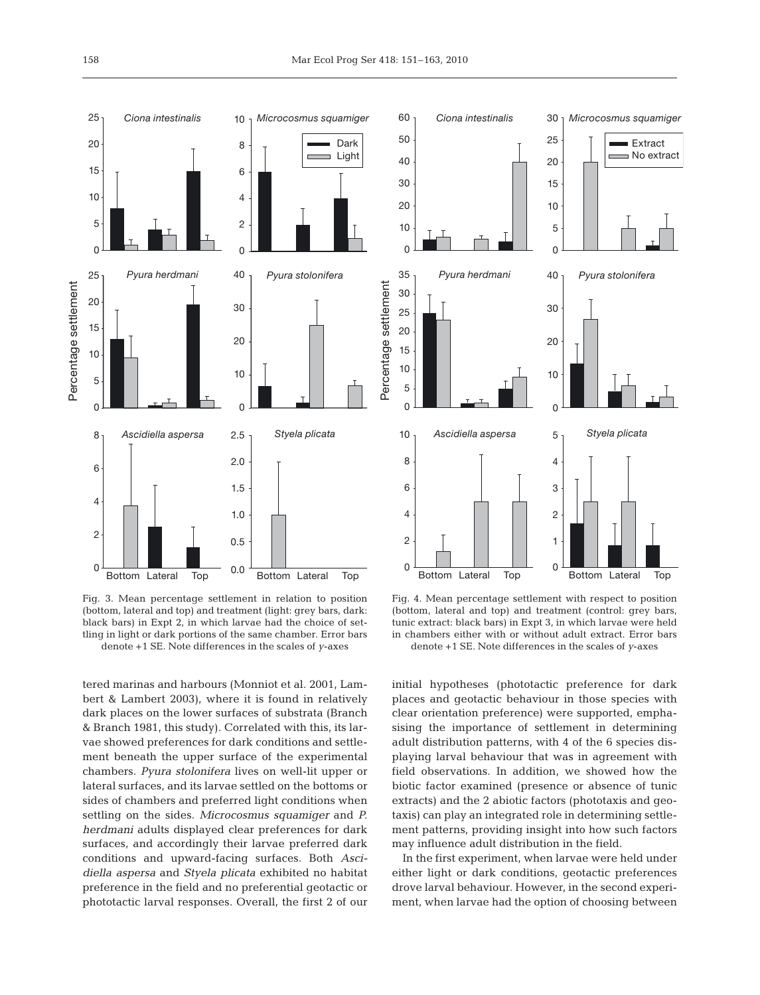

Fig. 3. Mean percentage settlement in relation to position (bottom, lateral and top) and treatment (light: grey bars, dark: black bars) in Expt 2, in which larvae had the choice of settling in light or dark portions of the same chamber. Error bars denote +1 SE. Note differences in the scales of *y*-axes

tered marinas and harbours (Monniot et al. 2001, Lambert & Lambert 2003), where it is found in relatively dark places on the lower surfaces of substrata (Branch & Branch 1981, this study). Correlated with this, its larvae showed preferences for dark conditions and settlement beneath the upper surface of the experimental chambers. *Pyura stolonifera* lives on well-lit upper or lateral surfaces, and its larvae settled on the bottoms or sides of chambers and preferred light conditions when settling on the sides. *Microcosmus squamiger* and *P. herdmani* adults displayed clear preferences for dark surfaces, and accordingly their larvae preferred dark conditions and upward-facing surfaces. Both *Ascidiella aspersa* and *Styela plicata* exhibited no habitat preference in the field and no preferential geotactic or phototactic larval responses. Overall, the first 2 of our

![](_page_7_Figure_4.jpeg)

Fig. 4. Mean percentage settlement with respect to position (bottom, lateral and top) and treatment (control: grey bars, tunic extract: black bars) in Expt 3, in which larvae were held in chambers either with or without adult extract. Error bars denote +1 SE. Note differences in the scales of *y*-axes

initial hypotheses (phototactic preference for dark places and geotactic behaviour in those species with clear orientation preference) were supported, emphasising the importance of settlement in determining adult distribution patterns, with 4 of the 6 species displaying larval behaviour that was in agreement with field observations. In addition, we showed how the biotic factor examined (presence or absence of tunic extracts) and the 2 abiotic factors (phototaxis and geotaxis) can play an integrated role in determining settlement patterns, providing insight into how such factors may influence adult distribution in the field.

In the first experiment, when larvae were held under either light or dark conditions, geotactic preferences drove larval behaviour. However, in the second experiment, when larvae had the option of choosing between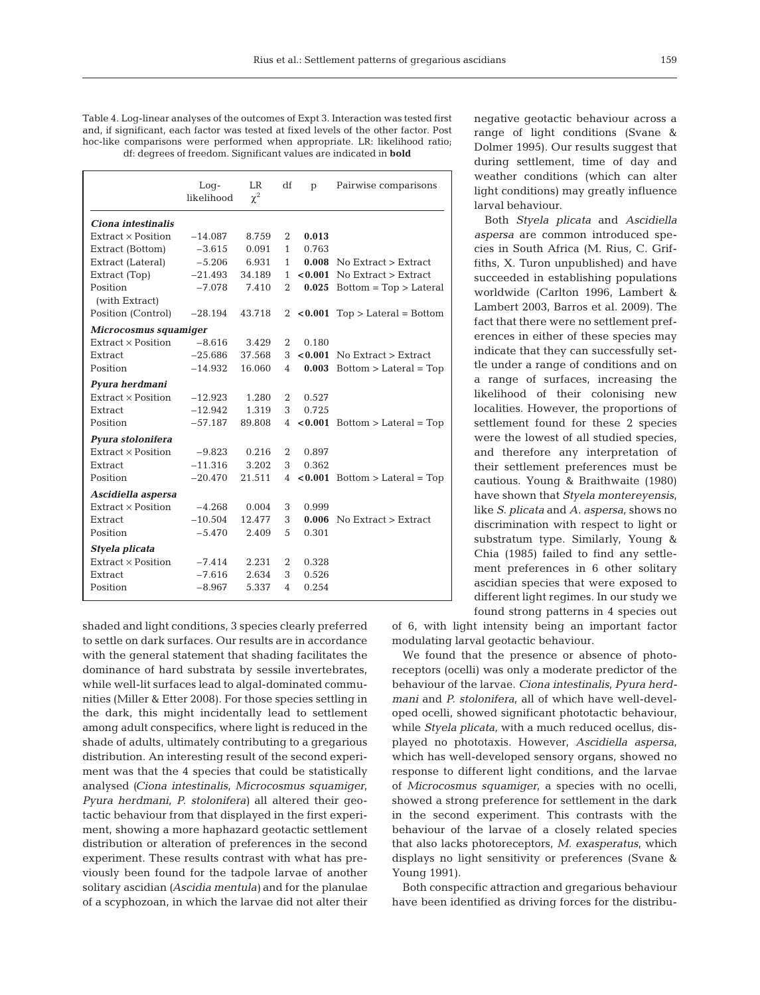Table 4. Log-linear analyses of the outcomes of Expt 3. Interaction was tested first and, if significant, each factor was tested at fixed levels of the other factor. Post hoc-like comparisons were performed when appropriate. LR: likelihood ratio; df: degrees of freedom. Significant values are indicated in **bold**

|                           | $Log-$<br>likelihood | <b>LR</b><br>$\chi^2$ | df             | p       | Pairwise comparisons               |
|---------------------------|----------------------|-----------------------|----------------|---------|------------------------------------|
| Ciona intestinalis        |                      |                       |                |         |                                    |
| Extract x Position        | $-14.087$            | 8.759                 | 2              | 0.013   |                                    |
| Extract (Bottom)          | $-3.615$             | 0.091                 | $\mathbf{1}$   | 0.763   |                                    |
| Extract (Lateral)         | $-5.206$             | 6.931                 | $\mathbf{1}$   |         | $0.008$ No Extract > Extract       |
| Extract (Top)             | $-21.493$            | 34.189                | 1              | < 0.001 | No Extract > Extract               |
| Position                  | $-7.078$             | 7.410                 | $\overline{2}$ | 0.025   | $Bottom = Top > Lateral$           |
| (with Extract)            |                      |                       |                |         |                                    |
| Position (Control)        | $-28.194$            | 43.718                |                |         | 2 < $0.001$ Top > Lateral = Bottom |
| Microcosmus squamiger     |                      |                       |                |         |                                    |
| $Extract \times Position$ | $-8.616$             | 3.429                 | 2              | 0.180   |                                    |
| Extract                   | $-25.686$            | 37.568                | 3              | < 0.001 | No Extract > Extract               |
| Position                  | $-14.932$            | 16.060                | 4              | 0.003   | $Bottom > Lateral = Top$           |
| Pyura herdmani            |                      |                       |                |         |                                    |
| Extract x Position        | $-12.923$            | 1.280                 | $\overline{2}$ | 0.527   |                                    |
| Extract                   | $-12.942$            | 1.319                 | 3              | 0.725   |                                    |
| Position                  | $-57.187$            | 89.808                | $\overline{4}$ |         | $< 0.001$ Bottom > Lateral = Top   |
| Pyura stolonifera         |                      |                       |                |         |                                    |
| Extract × Position        | $-9.823$             | 0.216                 | 2              | 0.897   |                                    |
| Extract                   | $-11.316$            | 3.202                 | 3              | 0.362   |                                    |
| Position                  | $-20.470$            | 21.511                | $\overline{4}$ |         | $< 0.001$ Bottom > Lateral = Top   |
| Ascidiella aspersa        |                      |                       |                |         |                                    |
| Extract x Position        | $-4.268$             | 0.004                 | 3              | 0.999   |                                    |
| Extract                   | $-10.504$            | 12.477                | 3              |         | $0.006$ No Extract $>$ Extract     |
| Position                  | $-5.470$             | 2.409                 | 5              | 0.301   |                                    |
| Styela plicata            |                      |                       |                |         |                                    |
| Extract x Position        | $-7.414$             | 2.231                 | 2              | 0.328   |                                    |
| Extract                   | $-7.616$             | 2.634                 | 3              | 0.526   |                                    |
| Position                  | $-8.967$             | 5.337                 | 4              | 0.254   |                                    |

shaded and light conditions, 3 species clearly preferred to settle on dark surfaces. Our results are in accordance with the general statement that shading facilitates the dominance of hard substrata by sessile invertebrates, while well-lit surfaces lead to algal-dominated communities (Miller & Etter 2008). For those species settling in the dark, this might incidentally lead to settlement among adult conspecifics, where light is reduced in the shade of adults, ultimately contributing to a gregarious distribution. An interesting result of the second experiment was that the 4 species that could be statistically analysed *(Ciona intestinalis*, *Microcosmus squamiger*, *Pyura herdmani*, *P. stolonifera)* all altered their geotactic behaviour from that displayed in the first experiment, showing a more haphazard geotactic settlement distribution or alteration of preferences in the second experiment. These results contrast with what has previously been found for the tadpole larvae of another solitary ascidian *(Ascidia mentula)* and for the planulae of a scyphozoan, in which the larvae did not alter their negative geotactic behaviour across a range of light conditions (Svane & Dolmer 1995). Our results suggest that during settlement, time of day and weather conditions (which can alter light conditions) may greatly influence larval behaviour.

Both *Styela plicata* and *Ascidiella aspersa* are common introduced species in South Africa (M. Rius, C. Griffiths, X. Turon unpublished) and have succeeded in establishing populations worldwide (Carlton 1996, Lambert & Lambert 2003, Barros et al. 2009). The fact that there were no settlement preferences in either of these species may indicate that they can successfully settle under a range of conditions and on a range of surfaces, increasing the likelihood of their colonising new localities. However, the proportions of settlement found for these 2 species were the lowest of all studied species, and therefore any interpretation of their settlement preferences must be cautious. Young & Braithwaite (1980) have shown that *Styela montereyensis*, like *S. plicata* and *A. aspersa*, shows no discrimination with respect to light or substratum type. Similarly, Young & Chia (1985) failed to find any settlement preferences in 6 other solitary ascidian species that were exposed to different light regimes. In our study we found strong patterns in 4 species out

of 6, with light intensity being an important factor modulating larval geotactic behaviour.

We found that the presence or absence of photoreceptors (ocelli) was only a moderate predictor of the behaviour of the larvae. *Ciona intestinalis*, *Pyura herdmani* and *P. stolonifera*, all of which have well-developed ocelli, showed significant phototactic behaviour, while *Styela plicata,* with a much reduced ocellus, displayed no phototaxis. However, *Ascidiella aspersa*, which has well-developed sensory organs, showed no response to different light conditions, and the larvae of *Microcosmus squamiger*, a species with no ocelli, showed a strong preference for settlement in the dark in the second experiment. This contrasts with the behaviour of the larvae of a closely related species that also lacks photoreceptors, *M. exasperatus*, which displays no light sensitivity or preferences (Svane & Young 1991).

Both conspecific attraction and gregarious behaviour have been identified as driving forces for the distribu-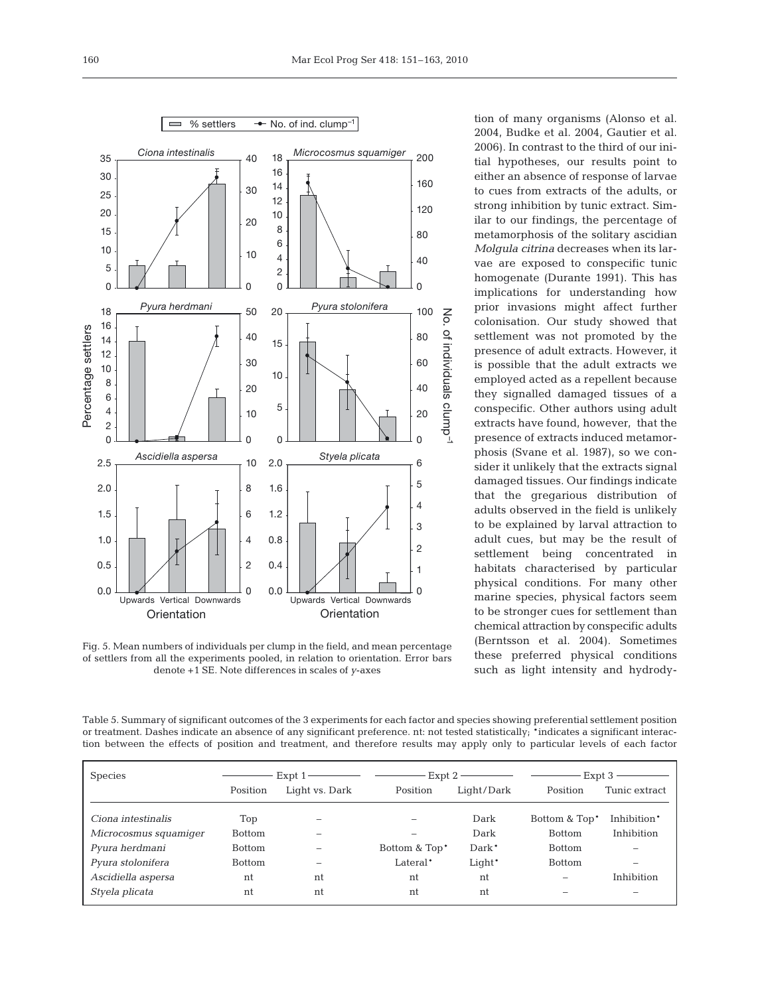![](_page_9_Figure_2.jpeg)

Fig. 5. Mean numbers of individuals per clump in the field, and mean percentage of settlers from all the experiments pooled, in relation to orientation. Error bars denote +1 SE. Note differences in scales of *y*-axes

tion of many organisms (Alonso et al. 2004, Budke et al. 2004, Gautier et al. 2006). In contrast to the third of our initial hypotheses, our results point to either an absence of response of larvae to cues from extracts of the adults, or strong inhibition by tunic extract. Similar to our findings, the percentage of metamorphosis of the solitary ascidian *Molgula citrina* decreases when its larvae are exposed to conspecific tunic homogenate (Durante 1991). This has implications for understanding how prior invasions might affect further colonisation. Our study showed that settlement was not promoted by the presence of adult extracts. However, it is possible that the adult extracts we employed acted as a repellent because they signalled damaged tissues of a conspecific. Other authors using adult extracts have found, however, that the presence of extracts induced metamorphosis (Svane et al. 1987), so we consider it unlikely that the extracts signal damaged tissues. Our findings indicate that the gregarious distribution of adults observed in the field is unlikely to be explained by larval attraction to adult cues, but may be the result of settlement being concentrated in habitats characterised by particular physical conditions. For many other marine species, physical factors seem to be stronger cues for settlement than chemical attraction by conspecific adults (Berntsson et al. 2004). Sometimes these preferred physical conditions such as light intensity and hydrody-

Table 5. Summary of significant outcomes of the 3 experiments for each factor and species showing preferential settlement position or treatment. Dashes indicate an absence of any significant preference. nt: not tested statistically; \*indicates a significant interaction between the effects of position and treatment, and therefore results may apply only to particular levels of each factor

| <b>Species</b>        | Expt 1        |                | Expt 2                    |            | Expt 3                    |               |  |
|-----------------------|---------------|----------------|---------------------------|------------|---------------------------|---------------|--|
|                       | Position      | Light vs. Dark | Position                  | Light/Dark | Position                  | Tunic extract |  |
|                       |               |                |                           |            |                           |               |  |
| Ciona intestinalis    | Top           |                |                           | Dark       | Bottom & Top <sup>*</sup> | Inhibition*   |  |
| Microcosmus squamiqer | <b>Bottom</b> |                |                           | Dark       | <b>Bottom</b>             | Inhibition    |  |
| Pyura herdmani        | <b>Bottom</b> |                | Bottom & Top <sup>*</sup> | Dark*      | <b>Bottom</b>             |               |  |
| Pyura stolonifera     | <b>Bottom</b> |                | Lateral*                  | Light*     | <b>Bottom</b>             |               |  |
| Ascidiella aspersa    | nt            | nt             | nt                        | nt         |                           | Inhibition    |  |
| Styela plicata        | nt            | nt             | nt                        | nt         |                           |               |  |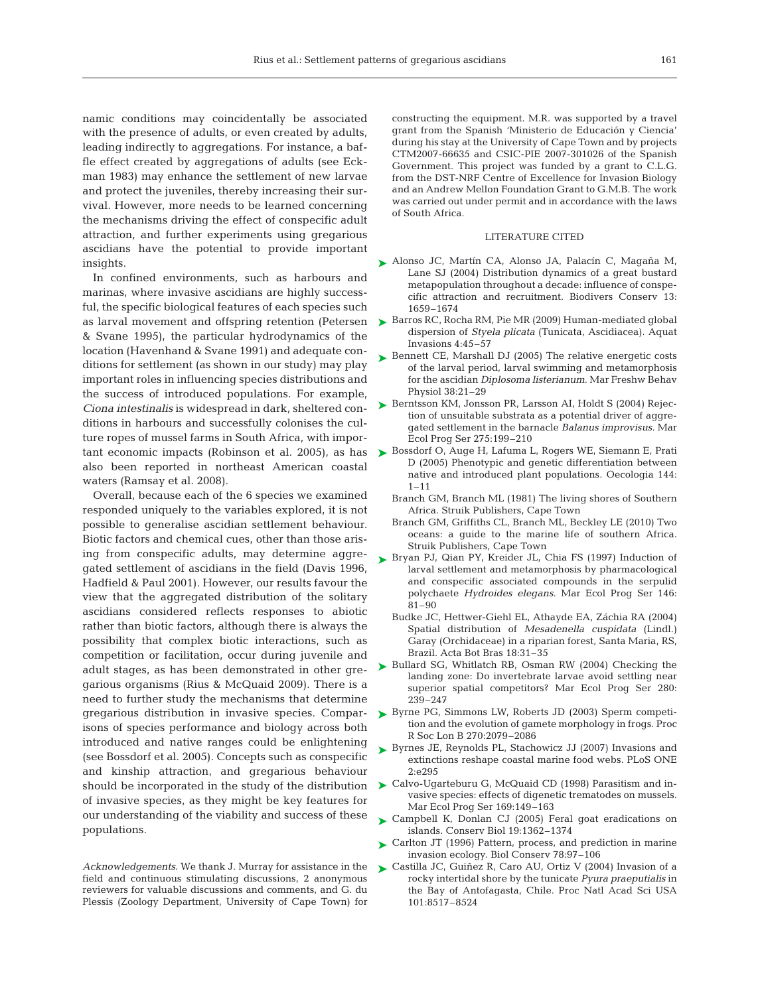namic conditions may coincidentally be associated with the presence of adults, or even created by adults, leading indirectly to aggregations. For instance, a baffle effect created by aggregations of adults (see Eckman 1983) may enhance the settlement of new larvae and protect the juveniles, thereby increasing their survival. However, more needs to be learned concerning the mechanisms driving the effect of conspecific adult attraction, and further experiments using gregarious ascidians have the potential to provide important insights.

In confined environments, such as harbours and marinas, where invasive ascidians are highly successful, the specific biological features of each species such as larval movement and offspring retention (Petersen & Svane 1995), the particular hydrodynamics of the location (Havenhand & Svane 1991) and adequate conditions for settlement (as shown in our study) may play important roles in influencing species distributions and the success of introduced populations. For example, *Ciona intestinalis* is widespread in dark, sheltered conditions in harbours and successfully colonises the culture ropes of mussel farms in South Africa, with important economic impacts (Robinson et al. 2005), as has also been reported in northeast American coastal waters (Ramsay et al. 2008).

Overall, because each of the 6 species we examined responded uniquely to the variables explored, it is not possible to generalise ascidian settlement behaviour. Biotic factors and chemical cues, other than those arising from conspecific adults, may determine aggregated settlement of ascidians in the field (Davis 1996, Hadfield & Paul 2001). However, our results favour the view that the aggregated distribution of the solitary ascidians considered reflects responses to abiotic rather than biotic factors, although there is always the possibility that complex biotic interactions, such as competition or facilitation, occur during juvenile and adult stages, as has been demonstrated in other gregarious organisms (Rius & McQuaid 2009). There is a need to further study the mechanisms that determine gregarious distribution in invasive species. Comparisons of species performance and biology across both introduced and native ranges could be enlightening (see Bossdorf et al. 2005). Concepts such as conspecific and kinship attraction, and gregarious behaviour should be incorporated in the study of the distribution of invasive species, as they might be key features for our understanding of the viability and success of these populations.

*Acknowledgements*. We thank J. Murray for assistance in the field and continuous stimulating discussions, 2 anonymous reviewers for valuable discussions and comments, and G. du Plessis (Zoology Department, University of Cape Town) for constructing the equipment. M.R. was supported by a travel grant from the Spanish 'Ministerio de Educación y Ciencia' during his stay at the University of Cape Town and by projects CTM2007-66635 and CSIC-PIE 2007-301026 of the Spanish Government. This project was funded by a grant to C.L.G. from the DST-NRF Centre of Excellence for Invasion Biology and an Andrew Mellon Foundation Grant to G.M.B. The work was carried out under permit and in accordance with the laws of South Africa.

#### LITERATURE CITED

- ► Alonso JC, Martín CA, Alonso JA, Palacín C, Magaña M, Lane SJ (2004) Distribution dynamics of a great bustard metapopulation throughout a decade: influence of conspecific attraction and recruitment. Biodivers Conserv 13: 1659–1674
- ► Barros RC, Rocha RM, Pie MR (2009) Human-mediated global dispersion of *Styela plicata* (Tunicata, Ascidiacea). Aquat Invasions 4:45–57
- ► Bennett CE, Marshall DJ (2005) The relative energetic costs of the larval period, larval swimming and metamorphosis for the ascidian *Diplosoma listerianum*. Mar Freshw Behav Physiol 38:21–29
- ► Berntsson KM, Jonsson PR, Larsson AI, Holdt S (2004) Rejection of unsuitable substrata as a potential driver of aggregated settlement in the barnacle *Balanus improvisus.* Mar Ecol Prog Ser 275:199–210
- ► Bossdorf O, Auge H, Lafuma L, Rogers WE, Siemann E, Prati D (2005) Phenotypic and genetic differentiation between native and introduced plant populations. Oecologia 144:  $1 - 11$ 
	- Branch GM, Branch ML (1981) The living shores of Southern Africa. Struik Publishers, Cape Town
	- Branch GM, Griffiths CL, Branch ML, Beckley LE (2010) Two oceans: a guide to the marine life of southern Africa. Struik Publishers, Cape Town
- ▶ Bryan PJ, Qian PY, Kreider JL, Chia FS (1997) Induction of larval settlement and metamorphosis by pharmacological and conspecific associated compounds in the serpulid polychaete *Hydroides elegans.* Mar Ecol Prog Ser 146: 81–90
	- Budke JC, Hettwer-Giehl EL, Athayde EA, Záchia RA (2004) Spatial distribution of *Mesadenella cuspidata* (Lindl.) Garay (Orchidaceae) in a riparian forest, Santa Maria, RS, Brazil. Acta Bot Bras 18:31–35
- ▶ Bullard SG, Whitlatch RB, Osman RW (2004) Checking the landing zone: Do invertebrate larvae avoid settling near superior spatial competitors? Mar Ecol Prog Ser 280: 239–247
- ► Byrne PG, Simmons LW, Roberts JD (2003) Sperm competition and the evolution of gamete morphology in frogs. Proc R Soc Lon B 270:2079–2086
- ► Byrnes JE, Reynolds PL, Stachowicz JJ (2007) Invasions and extinctions reshape coastal marine food webs. PLoS ONE 2:e295
- ► Calvo-Ugarteburu G, McQuaid CD (1998) Parasitism and invasive species: effects of digenetic trematodes on mussels. Mar Ecol Prog Ser 169:149–163
- ▶ Campbell K, Donlan CJ (2005) Feral goat eradications on islands. Conserv Biol 19:1362–1374
- ► Carlton JT (1996) Pattern, process, and prediction in marine invasion ecology. Biol Conserv 78:97–106
- ► Castilla JC, Guiñez R, Caro AU, Ortiz V (2004) Invasion of a rocky intertidal shore by the tunicate *Pyura praeputialis* in the Bay of Antofagasta, Chile. Proc Natl Acad Sci USA 101:8517–8524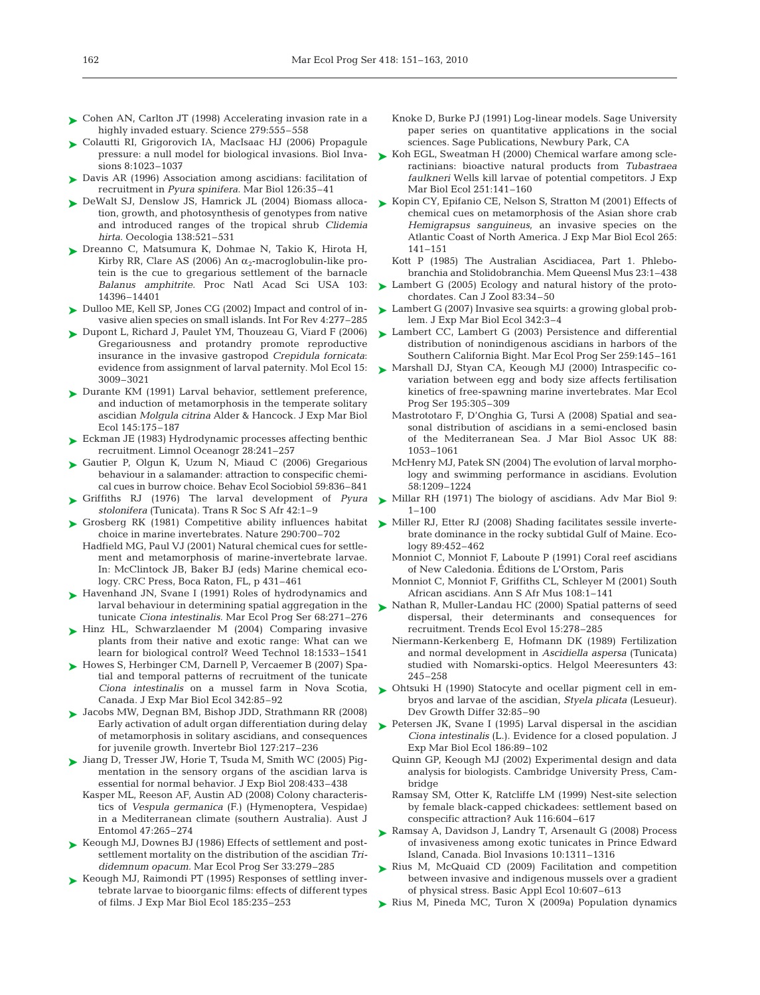- ► Cohen AN, Carlton JT (1998) Accelerating invasion rate in a highly invaded estuary. Science 279:555-558
- ► Colautti RI, Grigorovich IA, MacIsaac HJ (2006) Propagule pressure: a null model for biological invasions. Biol Invasions 8:1023–1037
- ► Davis AR (1996) Association among ascidians: facilitation of recruitment in *Pyura spinifera*. Mar Biol 126:35–41
- ► DeWalt SJ, Denslow JS, Hamrick JL (2004) Biomass allocation, growth, and photosynthesis of genotypes from native and introduced ranges of the tropical shrub *Clidemia hirta*. Oecologia 138:521–531
- ► Dreanno C, Matsumura K, Dohmae N, Takio K, Hirota H, Kirby RR, Clare AS (2006) An  $\alpha_2$ -macroqlobulin-like protein is the cue to gregarious settlement of the barnacle *Balanus amphitrite.* Proc Natl Acad Sci USA 103: 14396–14401
- ► Dulloo ME, Kell SP, Jones CG (2002) Impact and control of invasive alien species on small islands. Int For Rev 4:277–285
- ▶ Dupont L, Richard J, Paulet YM, Thouzeau G, Viard F (2006) Gregariousness and protandry promote reproductive insurance in the invasive gastropod *Crepidula fornicata*: evidence from assignment of larval paternity. Mol Ecol 15: 3009–3021
- ► Durante KM (1991) Larval behavior, settlement preference, and induction of metamorphosis in the temperate solitary ascidian *Molgula citrina* Alder & Hancock. J Exp Mar Biol Ecol 145:175–187
- ► Eckman JE (1983) Hydrodynamic processes affecting benthic recruitment. Limnol Oceanogr 28:241–257
- ► Gautier P, Olgun K, Uzum N, Miaud C (2006) Gregarious behaviour in a salamander: attraction to conspecific chemical cues in burrow choice. Behav Ecol Sociobiol 59:836–841
- Griffiths RJ (1976) The larval development of *Pyura* ➤ *stolonifera* (Tunicata). Trans R Soc S Afr 42:1–9
- ► Grosberg RK (1981) Competitive ability influences habitat choice in marine invertebrates. Nature 290:700–702
	- Hadfield MG, Paul VJ (2001) Natural chemical cues for settlement and metamorphosis of marine-invertebrate larvae. In: McClintock JB, Baker BJ (eds) Marine chemical ecology. CRC Press, Boca Raton, FL, p 431–461
- ► Havenhand JN, Svane I (1991) Roles of hydrodynamics and larval behaviour in determining spatial aggregation in the tunicate *Ciona intestinalis.* Mar Ecol Prog Ser 68:271–276
- ▶ Hinz HL, Schwarzlaender M (2004) Comparing invasive plants from their native and exotic range: What can we learn for biological control? Weed Technol 18:1533–1541
- ► Howes S, Herbinger CM, Darnell P, Vercaemer B (2007) Spatial and temporal patterns of recruitment of the tunicate *Ciona intestinalis* on a mussel farm in Nova Scotia, Canada. J Exp Mar Biol Ecol 342:85–92
- Jacobs MW, Degnan BM, Bishop JDD, Strathmann RR (2008) ➤ Early activation of adult organ differentiation during delay of metamorphosis in solitary ascidians, and consequences for juvenile growth. Invertebr Biol 127:217–236
- ► Jiang D, Tresser JW, Horie T, Tsuda M, Smith WC (2005) Pigmentation in the sensory organs of the ascidian larva is essential for normal behavior. J Exp Biol 208:433–438
	- Kasper ML, Reeson AF, Austin AD (2008) Colony characteristics of *Vespula germanica* (F.) (Hymenoptera, Vespidae) in a Mediterranean climate (southern Australia). Aust J Entomol 47:265–274
- ► Keough MJ, Downes BJ (1986) Effects of settlement and postsettlement mortality on the distribution of the ascidian *Trididemnum opacum.* Mar Ecol Prog Ser 33:279–285
- ► Keough MJ, Raimondi PT (1995) Responses of settling invertebrate larvae to bioorganic films: effects of different types of films. J Exp Mar Biol Ecol 185:235–253
- Knoke D, Burke PJ (1991) Log-linear models. Sage University paper series on quantitative applications in the social sciences. Sage Publications, Newbury Park, CA
- ► Koh EGL, Sweatman H (2000) Chemical warfare among scleractinians: bioactive natural products from *Tubastraea faulkneri* Wells kill larvae of potential competitors. J Exp Mar Biol Ecol 251:141–160
- ► Kopin CY, Epifanio CE, Nelson S, Stratton M (2001) Effects of chemical cues on metamorphosis of the Asian shore crab *Hemigrapsus sanguineus*, an invasive species on the Atlantic Coast of North America. J Exp Mar Biol Ecol 265: 141–151
	- Kott P (1985) The Australian Ascidiacea, Part 1. Phlebobranchia and Stolidobranchia. Mem Queensl Mus 23:1–438
- Lambert G (2005) Ecology and natural history of the protochordates. Can J Zool 83:34–50 ➤
- ► Lambert G (2007) Invasive sea squirts: a growing global problem. J Exp Mar Biol Ecol 342:3–4
- ► Lambert CC, Lambert G (2003) Persistence and differential distribution of nonindigenous ascidians in harbors of the Southern California Bight. Mar Ecol Prog Ser 259:145–161
- ► Marshall DJ, Styan CA, Keough MJ (2000) Intraspecific covariation between egg and body size affects fertilisation kinetics of free-spawning marine invertebrates. Mar Ecol Prog Ser 195:305–309
	- Mastrototaro F, D'Onghia G, Tursi A (2008) Spatial and seasonal distribution of ascidians in a semi-enclosed basin of the Mediterranean Sea. J Mar Biol Assoc UK 88: 1053–1061
	- McHenry MJ, Patek SN (2004) The evolution of larval morphology and swimming performance in ascidians. Evolution 58:1209–1224
- ► Millar RH (1971) The biology of ascidians. Adv Mar Biol 9:  $1 - 100$
- ► Miller RJ, Etter RJ (2008) Shading facilitates sessile invertebrate dominance in the rocky subtidal Gulf of Maine. Ecology 89:452–462
	- Monniot C, Monniot F, Laboute P (1991) Coral reef ascidians of New Caledonia. Éditions de L'Orstom, Paris
	- Monniot C, Monniot F, Griffiths CL, Schleyer M (2001) South African ascidians. Ann S Afr Mus 108:1–141
- ▶ Nathan R, Muller-Landau HC (2000) Spatial patterns of seed dispersal, their determinants and consequences for recruitment. Trends Ecol Evol 15:278–285
	- Niermann-Kerkenberg E, Hofmann DK (1989) Fertilization and normal development in *Ascidiella aspersa* (Tunicata) studied with Nomarski-optics. Helgol Meeresunters 43: 245–258
- ▶ Ohtsuki H (1990) Statocyte and ocellar pigment cell in embryos and larvae of the ascidian, *Styela plicata* (Lesueur). Dev Growth Differ 32:85–90
- ► Petersen JK, Svane I (1995) Larval dispersal in the ascidian *Ciona intestinalis* (L.). Evidence for a closed population. J Exp Mar Biol Ecol 186:89–102
	- Quinn GP, Keough MJ (2002) Experimental design and data analysis for biologists. Cambridge University Press, Cambridge
	- Ramsay SM, Otter K, Ratcliffe LM (1999) Nest-site selection by female black-capped chickadees: settlement based on conspecific attraction? Auk 116:604–617
- ► Ramsay A, Davidson J, Landry T, Arsenault G (2008) Process of invasiveness among exotic tunicates in Prince Edward Island, Canada. Biol Invasions 10:1311–1316
- ▶ Rius M, McQuaid CD (2009) Facilitation and competition between invasive and indigenous mussels over a gradient of physical stress. Basic Appl Ecol 10:607–613
- ► Rius M, Pineda MC, Turon X (2009a) Population dynamics